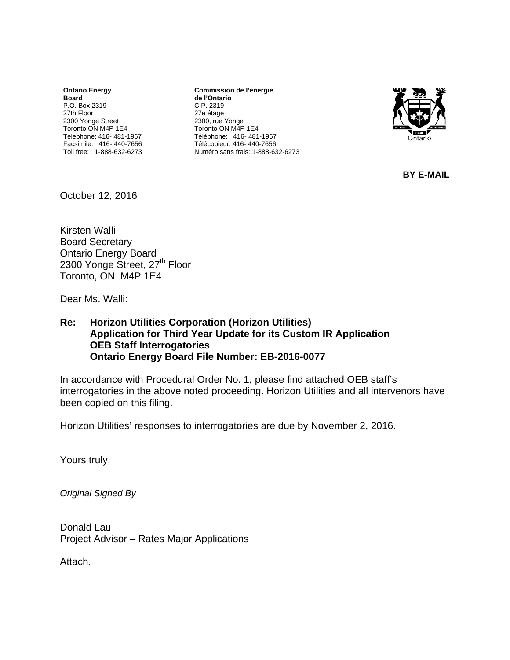**Ontario Energy Board**  P.O. Box 2319 27th Floor 2300 Yonge Street Toronto ON M4P 1E4 Telephone: 416- 481-1967 Facsimile: 416- 440-7656 Toll free: 1-888-632-6273

**Commission de l'énergie de l'Ontario** C.P. 2319 27e étage 2300, rue Yonge Toronto ON M4P 1E4 Téléphone: 416- 481-1967 Télécopieur: 416- 440-7656 Numéro sans frais: 1-888-632-6273



**BY E-MAIL** 

October 12, 2016

Kirsten Walli Board Secretary Ontario Energy Board 2300 Yonge Street, 27<sup>th</sup> Floor Toronto, ON M4P 1E4

Dear Ms. Walli:

#### **Re: Horizon Utilities Corporation (Horizon Utilities) Application for Third Year Update for its Custom IR Application OEB Staff Interrogatories Ontario Energy Board File Number: EB-2016-0077**

In accordance with Procedural Order No. 1, please find attached OEB staff's interrogatories in the above noted proceeding. Horizon Utilities and all intervenors have been copied on this filing.

Horizon Utilities' responses to interrogatories are due by November 2, 2016.

Yours truly,

*Original Signed By* 

Donald Lau Project Advisor – Rates Major Applications

Attach.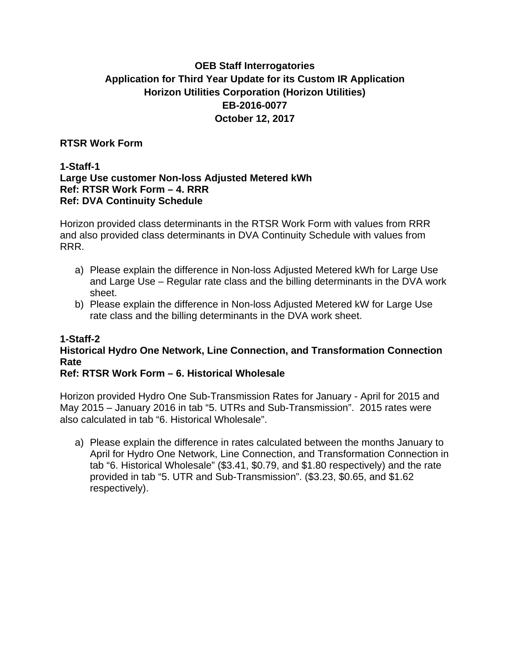# **OEB Staff Interrogatories Application for Third Year Update for its Custom IR Application Horizon Utilities Corporation (Horizon Utilities) EB-2016-0077 October 12, 2017**

## **RTSR Work Form**

#### **1-Staff-1 Large Use customer Non-loss Adjusted Metered kWh Ref: RTSR Work Form – 4. RRR Ref: DVA Continuity Schedule**

Horizon provided class determinants in the RTSR Work Form with values from RRR and also provided class determinants in DVA Continuity Schedule with values from RRR.

- a) Please explain the difference in Non-loss Adjusted Metered kWh for Large Use and Large Use – Regular rate class and the billing determinants in the DVA work sheet.
- b) Please explain the difference in Non-loss Adjusted Metered kW for Large Use rate class and the billing determinants in the DVA work sheet.

# **1-Staff-2 Historical Hydro One Network, Line Connection, and Transformation Connection Rate**

# **Ref: RTSR Work Form – 6. Historical Wholesale**

Horizon provided Hydro One Sub-Transmission Rates for January - April for 2015 and May 2015 – January 2016 in tab "5. UTRs and Sub-Transmission". 2015 rates were also calculated in tab "6. Historical Wholesale".

a) Please explain the difference in rates calculated between the months January to April for Hydro One Network, Line Connection, and Transformation Connection in tab "6. Historical Wholesale" (\$3.41, \$0.79, and \$1.80 respectively) and the rate provided in tab "5. UTR and Sub-Transmission". (\$3.23, \$0.65, and \$1.62 respectively).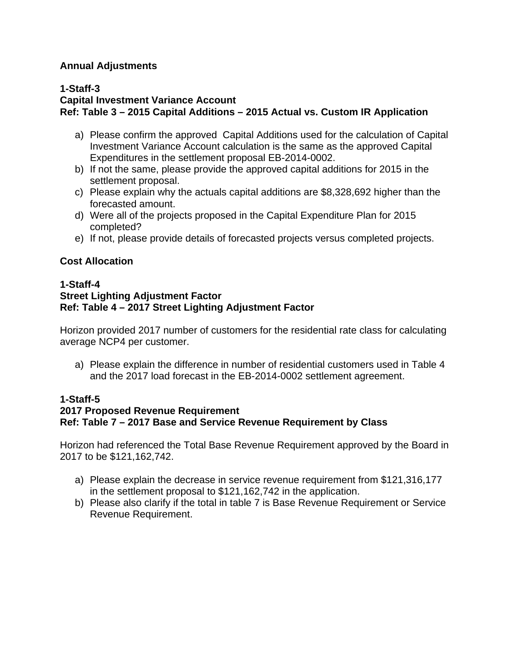## **Annual Adjustments**

## **1-Staff-3**

# **Capital Investment Variance Account Ref: Table 3 – 2015 Capital Additions – 2015 Actual vs. Custom IR Application**

- a) Please confirm the approved Capital Additions used for the calculation of Capital Investment Variance Account calculation is the same as the approved Capital Expenditures in the settlement proposal EB-2014-0002.
- b) If not the same, please provide the approved capital additions for 2015 in the settlement proposal.
- c) Please explain why the actuals capital additions are \$8,328,692 higher than the forecasted amount.
- d) Were all of the projects proposed in the Capital Expenditure Plan for 2015 completed?
- e) If not, please provide details of forecasted projects versus completed projects.

## **Cost Allocation**

#### **1-Staff-4 Street Lighting Adjustment Factor Ref: Table 4 – 2017 Street Lighting Adjustment Factor**

Horizon provided 2017 number of customers for the residential rate class for calculating average NCP4 per customer.

a) Please explain the difference in number of residential customers used in Table 4 and the 2017 load forecast in the EB-2014-0002 settlement agreement.

### **1-Staff-5 2017 Proposed Revenue Requirement Ref: Table 7 – 2017 Base and Service Revenue Requirement by Class**

Horizon had referenced the Total Base Revenue Requirement approved by the Board in 2017 to be \$121,162,742.

- a) Please explain the decrease in service revenue requirement from \$121,316,177 in the settlement proposal to \$121,162,742 in the application.
- b) Please also clarify if the total in table 7 is Base Revenue Requirement or Service Revenue Requirement.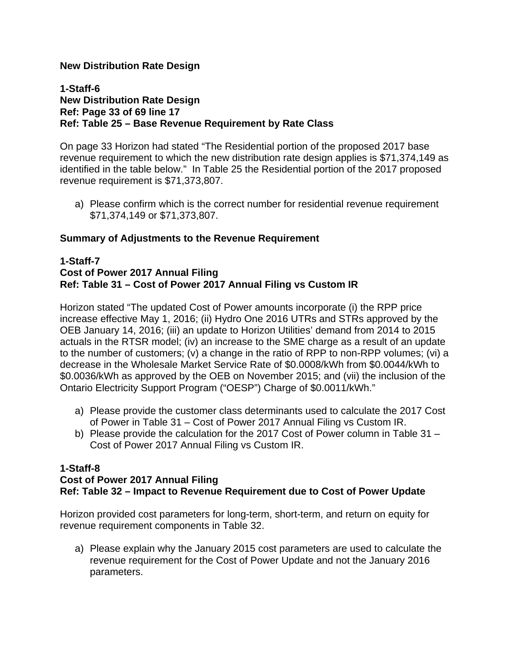## **New Distribution Rate Design**

### **1-Staff-6 New Distribution Rate Design Ref: Page 33 of 69 line 17 Ref: Table 25 – Base Revenue Requirement by Rate Class**

On page 33 Horizon had stated "The Residential portion of the proposed 2017 base revenue requirement to which the new distribution rate design applies is \$71,374,149 as identified in the table below." In Table 25 the Residential portion of the 2017 proposed revenue requirement is \$71,373,807.

a) Please confirm which is the correct number for residential revenue requirement \$71,374,149 or \$71,373,807.

### **Summary of Adjustments to the Revenue Requirement**

#### **1-Staff-7 Cost of Power 2017 Annual Filing Ref: Table 31 – Cost of Power 2017 Annual Filing vs Custom IR**

Horizon stated "The updated Cost of Power amounts incorporate (i) the RPP price increase effective May 1, 2016; (ii) Hydro One 2016 UTRs and STRs approved by the OEB January 14, 2016; (iii) an update to Horizon Utilities' demand from 2014 to 2015 actuals in the RTSR model; (iv) an increase to the SME charge as a result of an update to the number of customers; (v) a change in the ratio of RPP to non-RPP volumes; (vi) a decrease in the Wholesale Market Service Rate of \$0.0008/kWh from \$0.0044/kWh to \$0.0036/kWh as approved by the OEB on November 2015; and (vii) the inclusion of the Ontario Electricity Support Program ("OESP") Charge of \$0.0011/kWh."

- a) Please provide the customer class determinants used to calculate the 2017 Cost of Power in Table 31 – Cost of Power 2017 Annual Filing vs Custom IR.
- b) Please provide the calculation for the 2017 Cost of Power column in Table 31 Cost of Power 2017 Annual Filing vs Custom IR.

### **1-Staff-8**

# **Cost of Power 2017 Annual Filing Ref: Table 32 – Impact to Revenue Requirement due to Cost of Power Update**

Horizon provided cost parameters for long-term, short-term, and return on equity for revenue requirement components in Table 32.

a) Please explain why the January 2015 cost parameters are used to calculate the revenue requirement for the Cost of Power Update and not the January 2016 parameters.